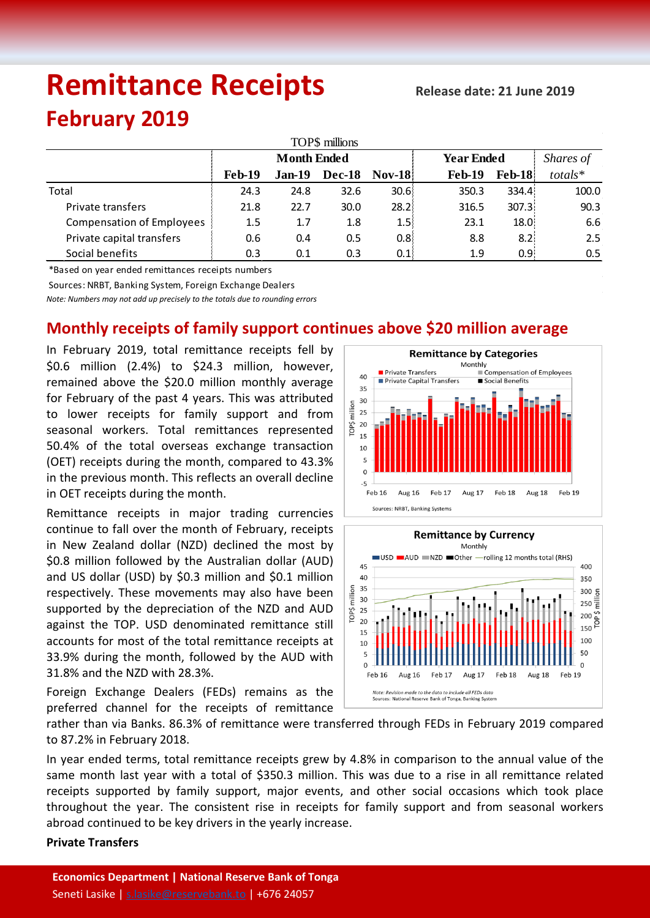# **Remittance Receipts**

## **February 2019**

| TOP\$ millions                   |                    |          |               |                  |                   |               |               |  |  |  |  |  |
|----------------------------------|--------------------|----------|---------------|------------------|-------------------|---------------|---------------|--|--|--|--|--|
|                                  | <b>Month Ended</b> |          |               |                  | <b>Year Ended</b> | Shares of     |               |  |  |  |  |  |
|                                  | <b>Feb-19</b>      | $Jan-19$ | <b>Dec-18</b> | <b>Nov-18</b>    | <b>Feb-19</b>     | <b>Feb-18</b> | totals*       |  |  |  |  |  |
| Total                            | 24.3               | 24.8     | 32.6          | 30.6:            | 350.3             | 334.4         | 100.0         |  |  |  |  |  |
| Private transfers                | 21.8               | 22.7     | 30.0          | 28.2:            | 316.5             | 307.31        | 90.3          |  |  |  |  |  |
| <b>Compensation of Employees</b> | 1.5                | 1.7      | 1.8           | 1.5!             | 23.1              | 18.0          | 6.6           |  |  |  |  |  |
| Private capital transfers        | 0.6                | 0.4      | 0.5           | 0.8 <sub>1</sub> | 8.8               | 8.21          | 2.5           |  |  |  |  |  |
| Social benefits                  | 0.3                | 0.1      | 0.3           | 0.1              | 1.9               | 0.95          | $0.5^{\circ}$ |  |  |  |  |  |

\*Based on year ended remittances receipts numbers

Sources: NRBT, Banking System, Foreign Exchange Dealers

*Note: Numbers may not add up precisely to the totals due to rounding errors*

### **Monthly receipts of family support continues above \$20 million average**

In February 2019, total remittance receipts fell by \$0.6 million (2.4%) to \$24.3 million, however, remained above the \$20.0 million monthly average for February of the past 4 years. This was attributed to lower receipts for family support and from seasonal workers. Total remittances represented 50.4% of the total overseas exchange transaction (OET) receipts during the month, compared to 43.3% in the previous month. This reflects an overall decline in OET receipts during the month.

Remittance receipts in major trading currencies continue to fall over the month of February, receipts in New Zealand dollar (NZD) declined the most by \$0.8 million followed by the Australian dollar (AUD) and US dollar (USD) by \$0.3 million and \$0.1 million respectively. These movements may also have been supported by the depreciation of the NZD and AUD against the TOP. USD denominated remittance still accounts for most of the total remittance receipts at 33.9% during the month, followed by the AUD with 31.8% and the NZD with 28.3%.

Foreign Exchange Dealers (FEDs) remains as the preferred channel for the receipts of remittance





rather than via Banks. 86.3% of remittance were transferred through FEDs in February 2019 compared to 87.2% in February 2018.

In year ended terms, total remittance receipts grew by 4.8% in comparison to the annual value of the same month last year with a total of \$350.3 million. This was due to a rise in all remittance related receipts supported by family support, major events, and other social occasions which took place throughout the year. The consistent rise in receipts for family support and from seasonal workers abroad continued to be key drivers in the yearly increase.

#### **Private Transfers**